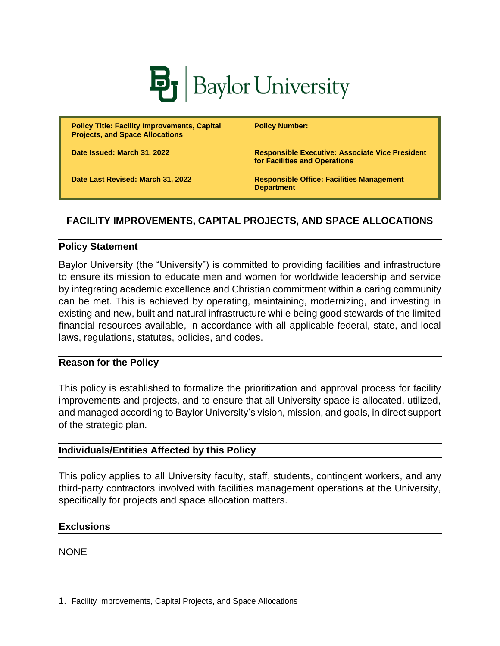

**Policy Title: Facility Improvements, Capital Projects, and Space Allocations**

**Policy Number:** 

**for Facilities and Operations**

**Date Issued: March 31, 2022 Responsible Executive: Associate Vice President** 

**Date Last Revised: March 31, 2022 Responsible Office: Facilities Management Department**

# **FACILITY IMPROVEMENTS, CAPITAL PROJECTS, AND SPACE ALLOCATIONS**

### **Policy Statement**

Baylor University (the "University") is committed to providing facilities and infrastructure to ensure its mission to educate men and women for worldwide leadership and service by integrating academic excellence and Christian commitment within a caring community can be met. This is achieved by operating, maintaining, modernizing, and investing in existing and new, built and natural infrastructure while being good stewards of the limited financial resources available, in accordance with all applicable federal, state, and local laws, regulations, statutes, policies, and codes.

## **Reason for the Policy**

This policy is established to formalize the prioritization and approval process for facility improvements and projects, and to ensure that all University space is allocated, utilized, and managed according to Baylor University's vision, mission, and goals, in direct support of the strategic plan.

## **Individuals/Entities Affected by this Policy**

This policy applies to all University faculty, staff, students, contingent workers, and any third-party contractors involved with facilities management operations at the University, specifically for projects and space allocation matters.

## **Exclusions**

**NONE**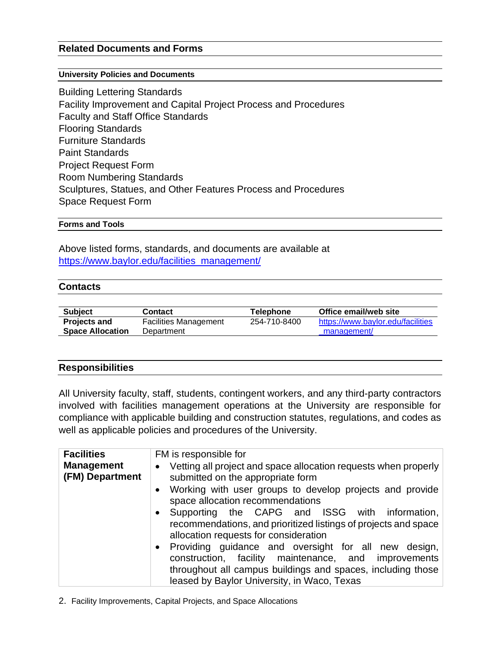## **Related Documents and Forms**

#### **University Policies and Documents**

Building Lettering Standards Facility Improvement and Capital Project Process and Procedures Faculty and Staff Office Standards Flooring Standards Furniture Standards Paint Standards Project Request Form Room Numbering Standards Sculptures, Statues, and Other Features Process and Procedures Space Request Form

#### **Forms and Tools**

Above listed forms, standards, and documents are available at [https://www.baylor.edu/facilities\\_management/](https://www.baylor.edu/facilities_management/)

### **Contacts**

| <b>Subject</b>          | Contact                      | Telephone    | Office email/web site             |
|-------------------------|------------------------------|--------------|-----------------------------------|
| <b>Projects and</b>     | <b>Facilities Management</b> | 254-710-8400 | https://www.baylor.edu/facilities |
| <b>Space Allocation</b> | Department                   |              | management/                       |

## **Responsibilities**

All University faculty, staff, students, contingent workers, and any third-party contractors involved with facilities management operations at the University are responsible for compliance with applicable building and construction statutes, regulations, and codes as well as applicable policies and procedures of the University.

| <b>Facilities</b><br><b>Management</b><br>(FM) Department | FM is responsible for<br>Vetting all project and space allocation requests when properly<br>$\bullet$<br>submitted on the appropriate form |  |  |
|-----------------------------------------------------------|--------------------------------------------------------------------------------------------------------------------------------------------|--|--|
|                                                           | Working with user groups to develop projects and provide<br>$\bullet$<br>space allocation recommendations                                  |  |  |
|                                                           |                                                                                                                                            |  |  |
|                                                           | • Supporting the CAPG and ISSG with information,                                                                                           |  |  |
|                                                           | recommendations, and prioritized listings of projects and space<br>allocation requests for consideration                                   |  |  |
|                                                           | • Providing guidance and oversight for all new design,                                                                                     |  |  |
|                                                           | construction, facility maintenance, and improvements                                                                                       |  |  |
|                                                           | throughout all campus buildings and spaces, including those                                                                                |  |  |
|                                                           | leased by Baylor University, in Waco, Texas                                                                                                |  |  |

2. Facility Improvements, Capital Projects, and Space Allocations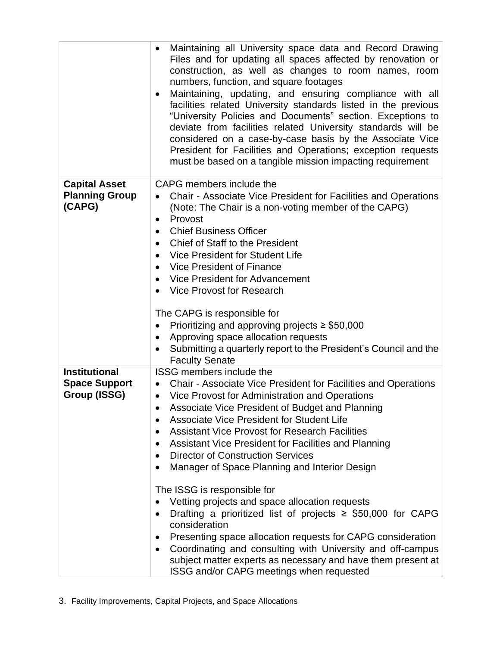|                                                              | Maintaining all University space data and Record Drawing<br>Files and for updating all spaces affected by renovation or<br>construction, as well as changes to room names, room<br>numbers, function, and square footages<br>Maintaining, updating, and ensuring compliance with all<br>$\bullet$<br>facilities related University standards listed in the previous<br>"University Policies and Documents" section. Exceptions to<br>deviate from facilities related University standards will be<br>considered on a case-by-case basis by the Associate Vice<br>President for Facilities and Operations; exception requests<br>must be based on a tangible mission impacting requirement                                                                                                                                                                                                                                                   |
|--------------------------------------------------------------|---------------------------------------------------------------------------------------------------------------------------------------------------------------------------------------------------------------------------------------------------------------------------------------------------------------------------------------------------------------------------------------------------------------------------------------------------------------------------------------------------------------------------------------------------------------------------------------------------------------------------------------------------------------------------------------------------------------------------------------------------------------------------------------------------------------------------------------------------------------------------------------------------------------------------------------------|
| <b>Capital Asset</b><br><b>Planning Group</b><br>(CAPG)      | CAPG members include the<br>Chair - Associate Vice President for Facilities and Operations<br>(Note: The Chair is a non-voting member of the CAPG)<br>Provost<br>$\bullet$<br><b>Chief Business Officer</b><br>$\bullet$<br><b>Chief of Staff to the President</b><br>Vice President for Student Life<br>$\bullet$<br>Vice President of Finance<br>Vice President for Advancement<br>$\bullet$<br>Vice Provost for Research<br>The CAPG is responsible for<br>Prioritizing and approving projects $\geq$ \$50,000<br>Approving space allocation requests<br>٠<br>Submitting a quarterly report to the President's Council and the<br><b>Faculty Senate</b>                                                                                                                                                                                                                                                                                  |
| <b>Institutional</b><br><b>Space Support</b><br>Group (ISSG) | <b>ISSG members include the</b><br>Chair - Associate Vice President for Facilities and Operations<br>$\bullet$<br>Vice Provost for Administration and Operations<br>Associate Vice President of Budget and Planning<br><b>Associate Vice President for Student Life</b><br><b>Assistant Vice Provost for Research Facilities</b><br>$\bullet$<br>Assistant Vice President for Facilities and Planning<br><b>Director of Construction Services</b><br>$\bullet$<br>Manager of Space Planning and Interior Design<br>The ISSG is responsible for<br>Vetting projects and space allocation requests<br>Drafting a prioritized list of projects $\geq$ \$50,000 for CAPG<br>consideration<br>Presenting space allocation requests for CAPG consideration<br>Coordinating and consulting with University and off-campus<br>$\bullet$<br>subject matter experts as necessary and have them present at<br>ISSG and/or CAPG meetings when requested |

3. Facility Improvements, Capital Projects, and Space Allocations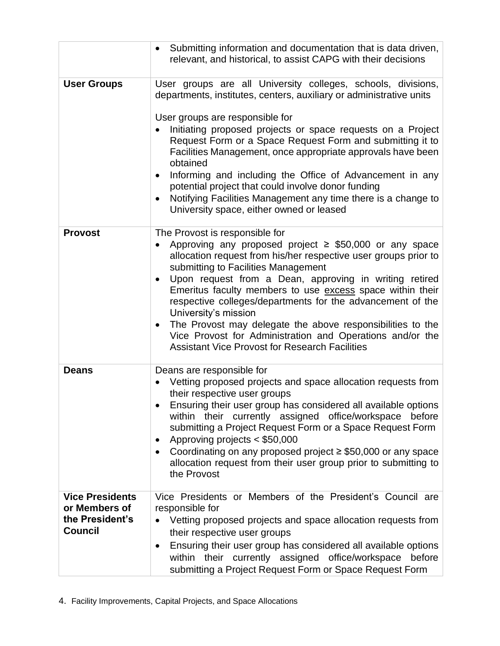|                                                                              | Submitting information and documentation that is data driven,<br>$\bullet$<br>relevant, and historical, to assist CAPG with their decisions                                                                                                                                                                                                                                                                                                                                                                                                                                                                                            |
|------------------------------------------------------------------------------|----------------------------------------------------------------------------------------------------------------------------------------------------------------------------------------------------------------------------------------------------------------------------------------------------------------------------------------------------------------------------------------------------------------------------------------------------------------------------------------------------------------------------------------------------------------------------------------------------------------------------------------|
| <b>User Groups</b>                                                           | User groups are all University colleges, schools, divisions,<br>departments, institutes, centers, auxiliary or administrative units<br>User groups are responsible for<br>Initiating proposed projects or space requests on a Project<br>Request Form or a Space Request Form and submitting it to<br>Facilities Management, once appropriate approvals have been<br>obtained<br>Informing and including the Office of Advancement in any<br>$\bullet$<br>potential project that could involve donor funding<br>Notifying Facilities Management any time there is a change to<br>$\bullet$<br>University space, either owned or leased |
| <b>Provost</b>                                                               | The Provost is responsible for<br>Approving any proposed project $\geq$ \$50,000 or any space<br>allocation request from his/her respective user groups prior to<br>submitting to Facilities Management<br>Upon request from a Dean, approving in writing retired<br>Emeritus faculty members to use excess space within their<br>respective colleges/departments for the advancement of the<br>University's mission<br>The Provost may delegate the above responsibilities to the<br>$\bullet$<br>Vice Provost for Administration and Operations and/or the<br><b>Assistant Vice Provost for Research Facilities</b>                  |
| <b>Deans</b>                                                                 | Deans are responsible for<br>Vetting proposed projects and space allocation requests from<br>their respective user groups<br>Ensuring their user group has considered all available options<br>within their currently assigned office/workspace before<br>submitting a Project Request Form or a Space Request Form<br>Approving projects < \$50,000<br>$\bullet$<br>Coordinating on any proposed project $\geq$ \$50,000 or any space<br>allocation request from their user group prior to submitting to<br>the Provost                                                                                                               |
| <b>Vice Presidents</b><br>or Members of<br>the President's<br><b>Council</b> | Vice Presidents or Members of the President's Council are<br>responsible for<br>Vetting proposed projects and space allocation requests from<br>their respective user groups<br>Ensuring their user group has considered all available options<br>within their currently assigned office/workspace before<br>submitting a Project Request Form or Space Request Form                                                                                                                                                                                                                                                                   |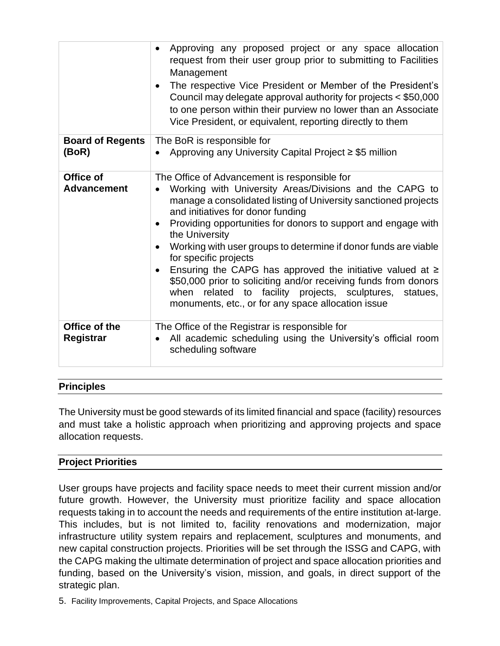|                                   | Approving any proposed project or any space allocation<br>$\bullet$<br>request from their user group prior to submitting to Facilities<br>Management<br>The respective Vice President or Member of the President's<br>Council may delegate approval authority for projects < \$50,000<br>to one person within their purview no lower than an Associate<br>Vice President, or equivalent, reporting directly to them                                                                                                                                                                                                                                               |
|-----------------------------------|-------------------------------------------------------------------------------------------------------------------------------------------------------------------------------------------------------------------------------------------------------------------------------------------------------------------------------------------------------------------------------------------------------------------------------------------------------------------------------------------------------------------------------------------------------------------------------------------------------------------------------------------------------------------|
| <b>Board of Regents</b><br>(BoR)  | The BoR is responsible for<br>• Approving any University Capital Project $\geq$ \$5 million                                                                                                                                                                                                                                                                                                                                                                                                                                                                                                                                                                       |
| Office of<br><b>Advancement</b>   | The Office of Advancement is responsible for<br>Working with University Areas/Divisions and the CAPG to<br>manage a consolidated listing of University sanctioned projects<br>and initiatives for donor funding<br>Providing opportunities for donors to support and engage with<br>the University<br>Working with user groups to determine if donor funds are viable<br>for specific projects<br>Ensuring the CAPG has approved the initiative valued at $\geq$<br>$\bullet$<br>\$50,000 prior to soliciting and/or receiving funds from donors<br>when related to facility projects, sculptures, statues,<br>monuments, etc., or for any space allocation issue |
| Office of the<br><b>Registrar</b> | The Office of the Registrar is responsible for<br>All academic scheduling using the University's official room<br>$\bullet$<br>scheduling software                                                                                                                                                                                                                                                                                                                                                                                                                                                                                                                |

## **Principles**

The University must be good stewards of its limited financial and space (facility) resources and must take a holistic approach when prioritizing and approving projects and space allocation requests.

## **Project Priorities**

User groups have projects and facility space needs to meet their current mission and/or future growth. However, the University must prioritize facility and space allocation requests taking in to account the needs and requirements of the entire institution at-large. This includes, but is not limited to, facility renovations and modernization, major infrastructure utility system repairs and replacement, sculptures and monuments, and new capital construction projects. Priorities will be set through the ISSG and CAPG, with the CAPG making the ultimate determination of project and space allocation priorities and funding, based on the University's vision, mission, and goals, in direct support of the strategic plan.

5. Facility Improvements, Capital Projects, and Space Allocations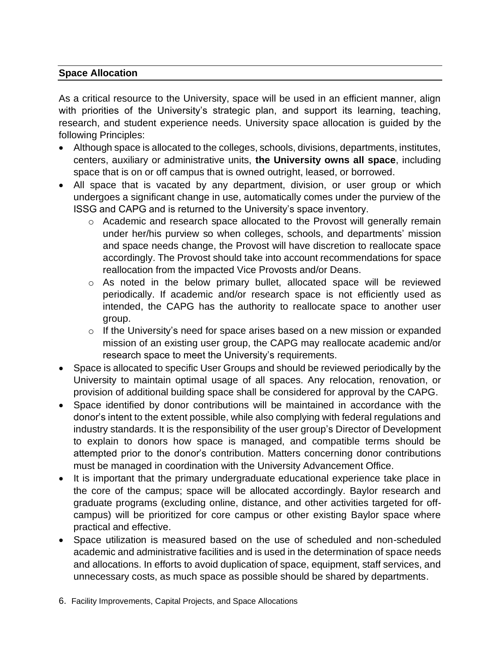## **Space Allocation**

As a critical resource to the University, space will be used in an efficient manner, align with priorities of the University's strategic plan, and support its learning, teaching, research, and student experience needs. University space allocation is guided by the following Principles:

- Although space is allocated to the colleges, schools, divisions, departments, institutes, centers, auxiliary or administrative units, **the University owns all space**, including space that is on or off campus that is owned outright, leased, or borrowed.
- All space that is vacated by any department, division, or user group or which undergoes a significant change in use, automatically comes under the purview of the ISSG and CAPG and is returned to the University's space inventory.
	- o Academic and research space allocated to the Provost will generally remain under her/his purview so when colleges, schools, and departments' mission and space needs change, the Provost will have discretion to reallocate space accordingly. The Provost should take into account recommendations for space reallocation from the impacted Vice Provosts and/or Deans.
	- o As noted in the below primary bullet, allocated space will be reviewed periodically. If academic and/or research space is not efficiently used as intended, the CAPG has the authority to reallocate space to another user group.
	- $\circ$  If the University's need for space arises based on a new mission or expanded mission of an existing user group, the CAPG may reallocate academic and/or research space to meet the University's requirements.
- Space is allocated to specific User Groups and should be reviewed periodically by the University to maintain optimal usage of all spaces. Any relocation, renovation, or provision of additional building space shall be considered for approval by the CAPG.
- Space identified by donor contributions will be maintained in accordance with the donor's intent to the extent possible, while also complying with federal regulations and industry standards. It is the responsibility of the user group's Director of Development to explain to donors how space is managed, and compatible terms should be attempted prior to the donor's contribution. Matters concerning donor contributions must be managed in coordination with the University Advancement Office.
- It is important that the primary undergraduate educational experience take place in the core of the campus; space will be allocated accordingly. Baylor research and graduate programs (excluding online, distance, and other activities targeted for offcampus) will be prioritized for core campus or other existing Baylor space where practical and effective.
- Space utilization is measured based on the use of scheduled and non-scheduled academic and administrative facilities and is used in the determination of space needs and allocations. In efforts to avoid duplication of space, equipment, staff services, and unnecessary costs, as much space as possible should be shared by departments.